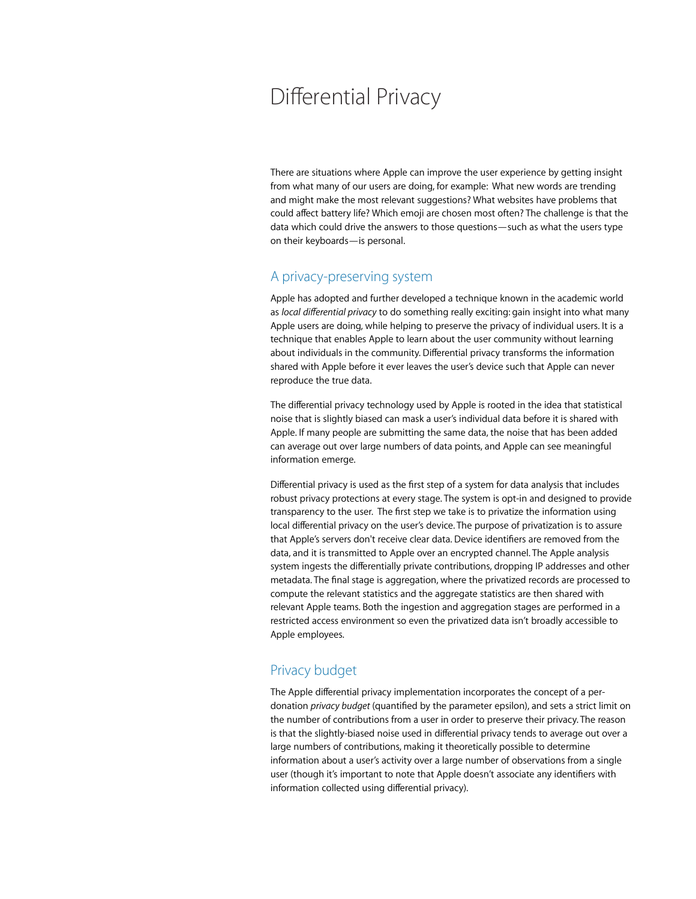# Differential Privacy

There are situations where Apple can improve the user experience by getting insight from what many of our users are doing, for example: What new words are trending and might make the most relevant suggestions? What websites have problems that could affect battery life? Which emoji are chosen most often? The challenge is that the data which could drive the answers to those questions—such as what the users type on their keyboards—is personal.

### A privacy-preserving system

Apple has adopted and further developed a technique known in the academic world as *local differential privacy* to do something really exciting: gain insight into what many Apple users are doing, while helping to preserve the privacy of individual users. It is a technique that enables Apple to learn about the user community without learning about individuals in the community. Differential privacy transforms the information shared with Apple before it ever leaves the user's device such that Apple can never reproduce the true data.

The differential privacy technology used by Apple is rooted in the idea that statistical noise that is slightly biased can mask a user's individual data before it is shared with Apple. If many people are submitting the same data, the noise that has been added can average out over large numbers of data points, and Apple can see meaningful information emerge.

Differential privacy is used as the first step of a system for data analysis that includes robust privacy protections at every stage. The system is opt-in and designed to provide transparency to the user. The first step we take is to privatize the information using local differential privacy on the user's device. The purpose of privatization is to assure that Apple's servers don't receive clear data. Device identifiers are removed from the data, and it is transmitted to Apple over an encrypted channel. The Apple analysis system ingests the differentially private contributions, dropping IP addresses and other metadata. The final stage is aggregation, where the privatized records are processed to compute the relevant statistics and the aggregate statistics are then shared with relevant Apple teams. Both the ingestion and aggregation stages are performed in a restricted access environment so even the privatized data isn't broadly accessible to Apple employees.

## Privacy budget

The Apple differential privacy implementation incorporates the concept of a perdonation *privacy budget* (quantified by the parameter epsilon), and sets a strict limit on the number of contributions from a user in order to preserve their privacy. The reason is that the slightly-biased noise used in differential privacy tends to average out over a large numbers of contributions, making it theoretically possible to determine information about a user's activity over a large number of observations from a single user (though it's important to note that Apple doesn't associate any identifiers with information collected using differential privacy).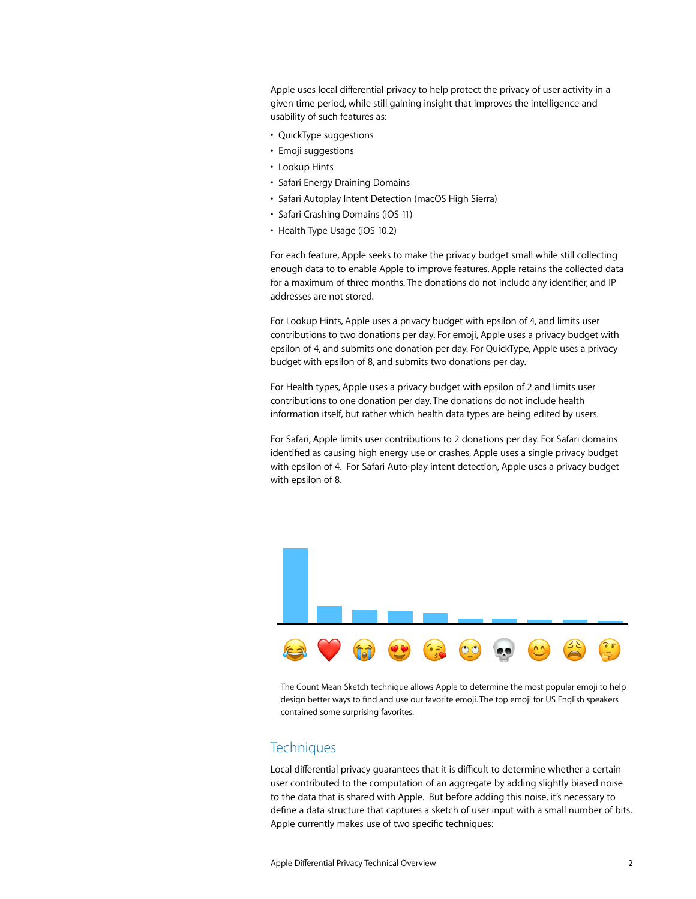Apple uses local differential privacy to help protect the privacy of user activity in a given time period, while still gaining insight that improves the intelligence and usability of such features as:

- QuickType suggestions
- Emoji suggestions
- Lookup Hints
- Safari Energy Draining Domains
- Safari Autoplay Intent Detection (macOS High Sierra)
- Safari Crashing Domains (iOS 11)
- Health Type Usage (iOS 10.2)

For each feature, Apple seeks to make the privacy budget small while still collecting enough data to to enable Apple to improve features. Apple retains the collected data for a maximum of three months. The donations do not include any identifier, and IP addresses are not stored.

For Lookup Hints, Apple uses a privacy budget with epsilon of 4, and limits user contributions to two donations per day. For emoji, Apple uses a privacy budget with epsilon of 4, and submits one donation per day. For QuickType, Apple uses a privacy budget with epsilon of 8, and submits two donations per day.

For Health types, Apple uses a privacy budget with epsilon of 2 and limits user contributions to one donation per day. The donations do not include health information itself, but rather which health data types are being edited by users.

For Safari, Apple limits user contributions to 2 donations per day. For Safari domains identified as causing high energy use or crashes, Apple uses a single privacy budget with epsilon of 4. For Safari Auto-play intent detection, Apple uses a privacy budget with epsilon of 8.



The Count Mean Sketch technique allows Apple to determine the most popular emoji to help design better ways to find and use our favorite emoji. The top emoji for US English speakers contained some surprising favorites.

# **Techniques**

Local differential privacy guarantees that it is difficult to determine whether a certain user contributed to the computation of an aggregate by adding slightly biased noise to the data that is shared with Apple. But before adding this noise, it's necessary to define a data structure that captures a sketch of user input with a small number of bits. Apple currently makes use of two specific techniques: